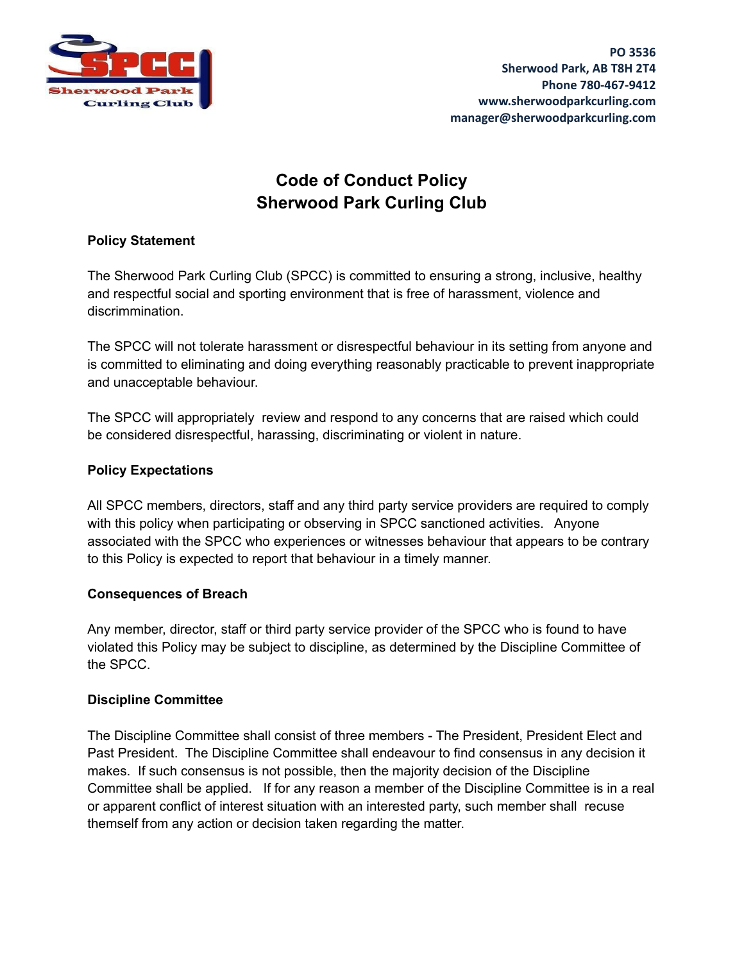

# **Code of Conduct Policy Sherwood Park Curling Club**

## **Policy Statement**

The Sherwood Park Curling Club (SPCC) is committed to ensuring a strong, inclusive, healthy and respectful social and sporting environment that is free of harassment, violence and discrimmination.

The SPCC will not tolerate harassment or disrespectful behaviour in its setting from anyone and is committed to eliminating and doing everything reasonably practicable to prevent inappropriate and unacceptable behaviour.

The SPCC will appropriately review and respond to any concerns that are raised which could be considered disrespectful, harassing, discriminating or violent in nature.

## **Policy Expectations**

All SPCC members, directors, staff and any third party service providers are required to comply with this policy when participating or observing in SPCC sanctioned activities. Anyone associated with the SPCC who experiences or witnesses behaviour that appears to be contrary to this Policy is expected to report that behaviour in a timely manner.

#### **Consequences of Breach**

Any member, director, staff or third party service provider of the SPCC who is found to have violated this Policy may be subject to discipline, as determined by the Discipline Committee of the SPCC.

#### **Discipline Committee**

The Discipline Committee shall consist of three members - The President, President Elect and Past President. The Discipline Committee shall endeavour to find consensus in any decision it makes. If such consensus is not possible, then the majority decision of the Discipline Committee shall be applied. If for any reason a member of the Discipline Committee is in a real or apparent conflict of interest situation with an interested party, such member shall recuse themself from any action or decision taken regarding the matter.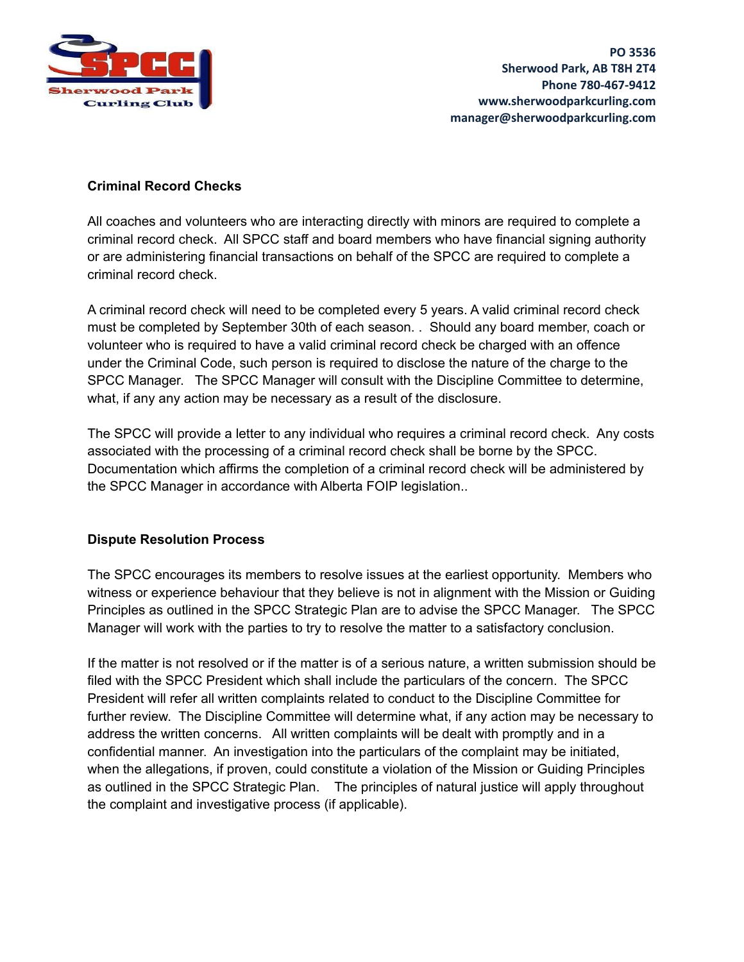

#### **Criminal Record Checks**

All coaches and volunteers who are interacting directly with minors are required to complete a criminal record check. All SPCC staff and board members who have financial signing authority or are administering financial transactions on behalf of the SPCC are required to complete a criminal record check.

A criminal record check will need to be completed every 5 years. A valid criminal record check must be completed by September 30th of each season. . Should any board member, coach or volunteer who is required to have a valid criminal record check be charged with an offence under the Criminal Code, such person is required to disclose the nature of the charge to the SPCC Manager. The SPCC Manager will consult with the Discipline Committee to determine, what, if any any action may be necessary as a result of the disclosure.

The SPCC will provide a letter to any individual who requires a criminal record check. Any costs associated with the processing of a criminal record check shall be borne by the SPCC. Documentation which affirms the completion of a criminal record check will be administered by the SPCC Manager in accordance with Alberta FOIP legislation..

# **Dispute Resolution Process**

The SPCC encourages its members to resolve issues at the earliest opportunity. Members who witness or experience behaviour that they believe is not in alignment with the Mission or Guiding Principles as outlined in the SPCC Strategic Plan are to advise the SPCC Manager. The SPCC Manager will work with the parties to try to resolve the matter to a satisfactory conclusion.

If the matter is not resolved or if the matter is of a serious nature, a written submission should be filed with the SPCC President which shall include the particulars of the concern. The SPCC President will refer all written complaints related to conduct to the Discipline Committee for further review. The Discipline Committee will determine what, if any action may be necessary to address the written concerns. All written complaints will be dealt with promptly and in a confidential manner. An investigation into the particulars of the complaint may be initiated, when the allegations, if proven, could constitute a violation of the Mission or Guiding Principles as outlined in the SPCC Strategic Plan. The principles of natural justice will apply throughout the complaint and investigative process (if applicable).